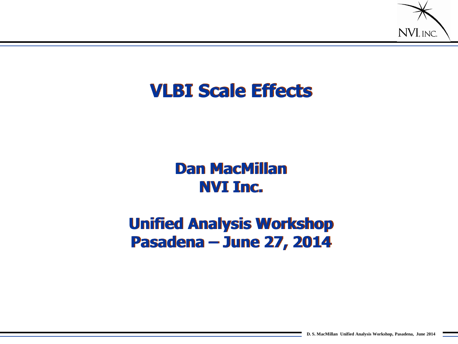

#### **VLBI Scale Effects**

#### **Dan MacMillan NVI Inc.**

#### **Unified Analysis Workshop Pasadena – June 27, 2014**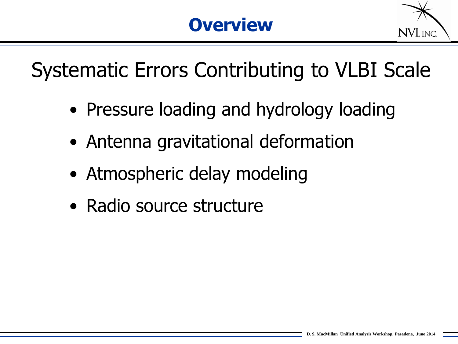

Systematic Errors Contributing to VLBI Scale

- Pressure loading and hydrology loading
- Antenna gravitational deformation
- Atmospheric delay modeling
- Radio source structure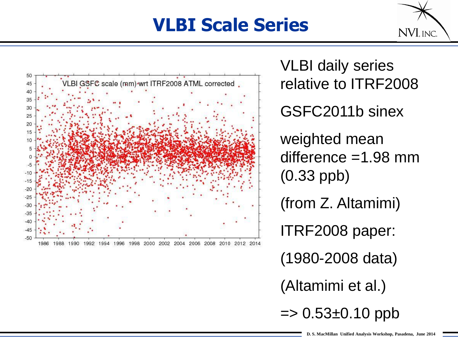## **VLBI Scale Series**





VLBI daily series relative to ITRF2008 GSFC2011b sinex weighted mean difference =1.98 mm (0.33 ppb) (from Z. Altamimi) ITRF2008 paper: (1980-2008 data) (Altamimi et al.)  $\Rightarrow$  0.53 $\pm$ 0.10 ppb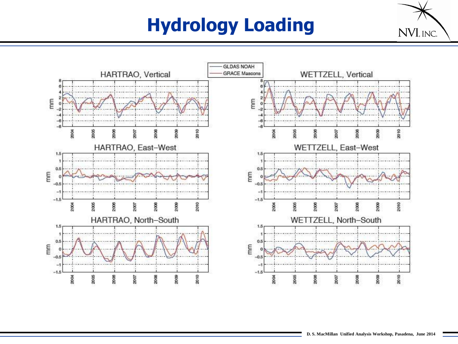# **Hydrology Loading**



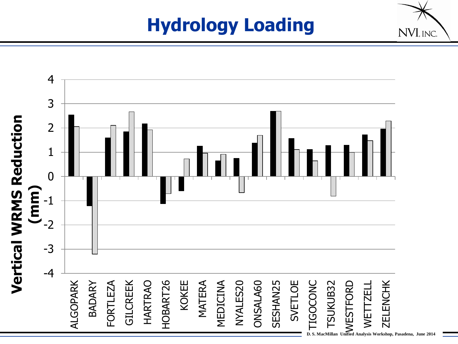## **Hydrology Loading**



NVI, INC.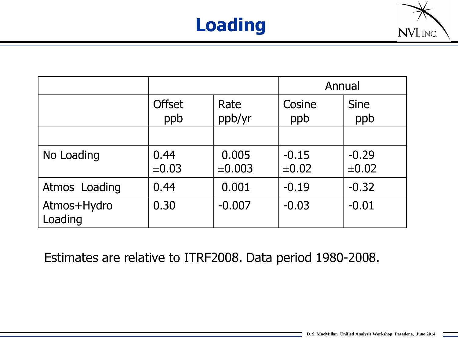



|                        |                      |                 | Annual                |                       |
|------------------------|----------------------|-----------------|-----------------------|-----------------------|
|                        | <b>Offset</b><br>ppb | Rate<br>ppb/yr  | Cosine<br>ppb         | <b>Sine</b><br>ppb    |
|                        |                      |                 |                       |                       |
| No Loading             | 0.44<br>$\pm 0.03$   | 0.005<br>±0.003 | $-0.15$<br>$\pm 0.02$ | $-0.29$<br>$\pm 0.02$ |
| Atmos Loading          | 0.44                 | 0.001           | $-0.19$               | $-0.32$               |
| Atmos+Hydro<br>Loading | 0.30                 | $-0.007$        | $-0.03$               | $-0.01$               |

Estimates are relative to ITRF2008. Data period 1980-2008.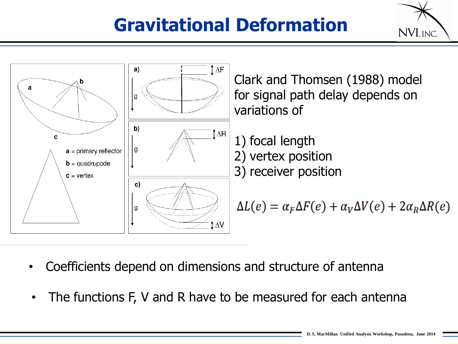## **Gravitational Deformation**





- Coefficients depend on dimensions and structure of antenna
- The functions F, V and R have to be measured for each antenna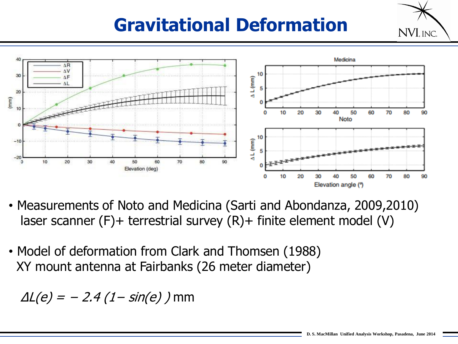### **Gravitational Deformation**



- Measurements of Noto and Medicina (Sarti and Abondanza, 2009,2010) laser scanner (F)+ terrestrial survey (R)+ finite element model (V)
- Model of deformation from Clark and Thomsen (1988) XY mount antenna at Fairbanks (26 meter diameter)

 $\Delta L(e) = -2.4 (1-sin(e))$  mm

NVI, INC.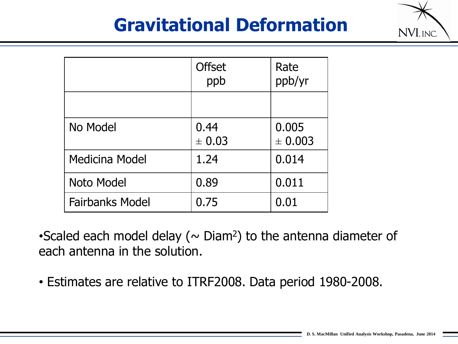#### **Gravitational Deformation**



|                        | <b>Offset</b><br>ppb | Rate<br>ppb/yr       |
|------------------------|----------------------|----------------------|
|                        |                      |                      |
| No Model               | 0.44<br>± 0.03       | 0.005<br>$\pm 0.003$ |
| Medicina Model         | 1.24                 | 0.014                |
| Noto Model             | 0.89                 | 0.011                |
| <b>Fairbanks Model</b> | 0.75                 | 0.01                 |

•Scaled each model delay ( $\sim$  Diam<sup>2</sup>) to the antenna diameter of each antenna in the solution.

• Estimates are relative to ITRF2008. Data period 1980-2008.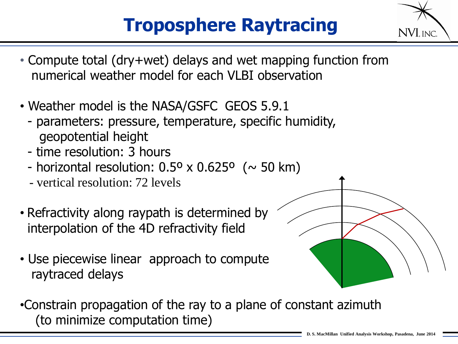## **Troposphere Raytracing**

- NVL INC.
- Compute total (dry+wet) delays and wet mapping function from numerical weather model for each VLBI observation
- Weather model is the NASA/GSFC GEOS 5.9.1
	- parameters: pressure, temperature, specific humidity, geopotential height
	- time resolution: 3 hours
	- horizontal resolution:  $0.5^{\circ} \times 0.625^{\circ}$  ( $\sim$  50 km)
	- vertical resolution: 72 levels
- Refractivity along raypath is determined by interpolation of the 4D refractivity field
- Use piecewise linear approach to compute raytraced delays
- •Constrain propagation of the ray to a plane of constant azimuth (to minimize computation time)

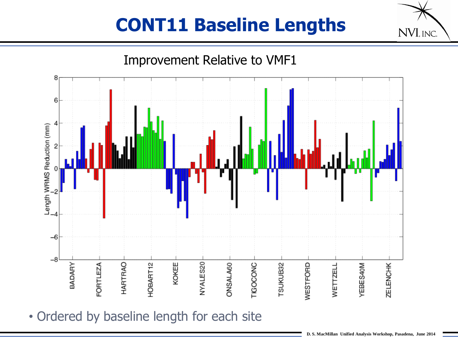## **CONT11 Baseline Lengths**



• Ordered by baseline length for each site

NVI, INC.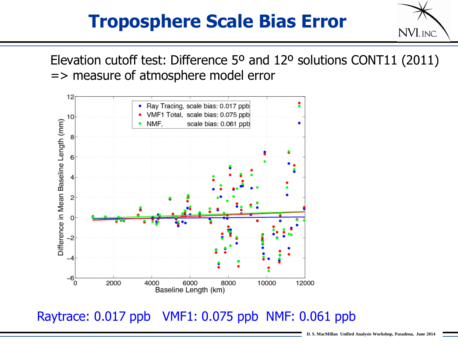#### **Troposphere Scale Bias Error**



Elevation cutoff test: Difference 5º and 12º solutions CONT11 (2011) => measure of atmosphere model error



Raytrace: 0.017 ppb VMF1: 0.075 ppb NMF: 0.061 ppb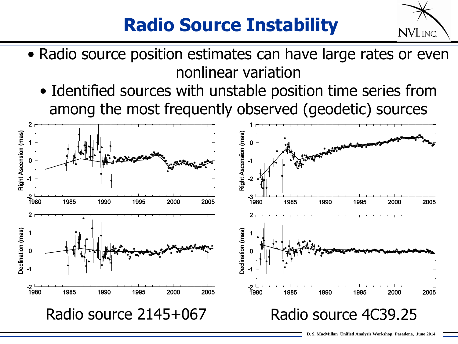## **Radio Source Instability**



- Radio source position estimates can have large rates or even nonlinear variation
	- Identified sources with unstable position time series from among the most frequently observed (geodetic) sources

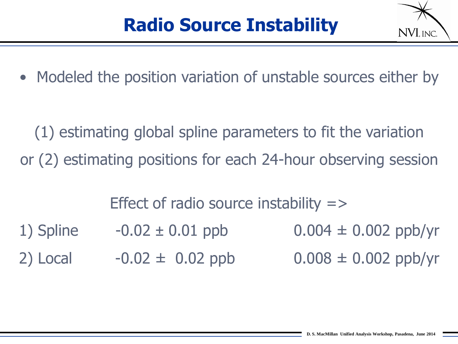

• Modeled the position variation of unstable sources either by

(1) estimating global spline parameters to fit the variation or (2) estimating positions for each 24-hour observing session

Effect of radio source instability  $\Rightarrow$ 

- 1) Spline  $-0.02 \pm 0.01$  ppb  $0.004 \pm 0.002$  ppb/yr
- 2) Local  $-0.02 \pm 0.02$  ppb  $0.008 \pm 0.002$  ppb/yr
- -